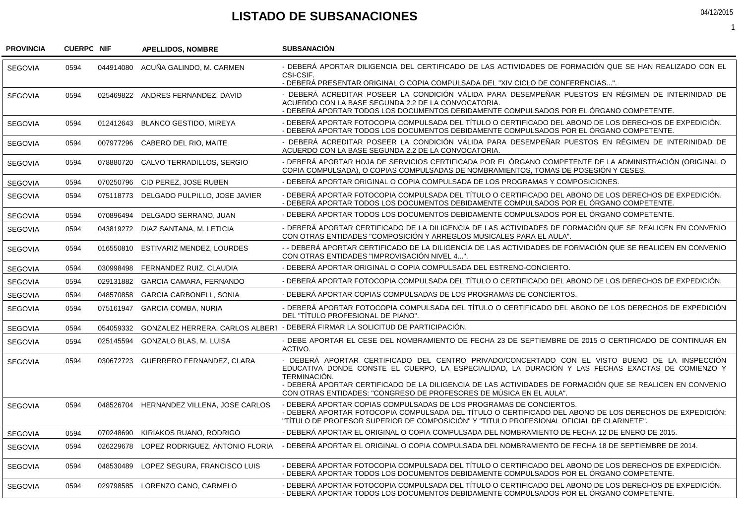## **LISTADO DE SUBSANACIONES**

| 04/12/2015 |  |
|------------|--|
|            |  |

1

| <b>PROVINCIA</b> | <b>CUERPC NIF</b> |           | <b>APELLIDOS, NOMBRE</b>                  | <b>SUBSANACIÓN</b>                                                                                                                                                                                                                                                                                                                                                                                      |
|------------------|-------------------|-----------|-------------------------------------------|---------------------------------------------------------------------------------------------------------------------------------------------------------------------------------------------------------------------------------------------------------------------------------------------------------------------------------------------------------------------------------------------------------|
| <b>SEGOVIA</b>   | 0594              |           | 044914080 ACUÑA GALINDO, M. CARMEN        | - DEBERÁ APORTAR DILIGENCIA DEL CERTIFICADO DE LAS ACTIVIDADES DE FORMACIÓN QUE SE HAN REALIZADO CON EL<br>CSI-CSIF.<br>- DEBERÁ PRESENTAR ORIGINAL O COPIA COMPULSADA DEL "XIV CICLO DE CONFERENCIAS".                                                                                                                                                                                                 |
| <b>SEGOVIA</b>   | 0594              |           | 025469822 ANDRES FERNANDEZ, DAVID         | - DEBERÁ ACREDITAR POSEER LA CONDICIÓN VÁLIDA PARA DESEMPEÑAR PUESTOS EN RÉGIMEN DE INTERINIDAD DE<br>ACUERDO CON LA BASE SEGUNDA 2.2 DE LA CONVOCATORIA.<br>- DEBERA APORTAR TODOS LOS DOCUMENTOS DEBIDAMENTE COMPULSADOS POR EL ÓRGANO COMPETENTE.                                                                                                                                                    |
| <b>SEGOVIA</b>   | 0594              |           | 012412643 BLANCO GESTIDO, MIREYA          | - DEBERÁ APORTAR FOTOCOPIA COMPULSADA DEL TÍTULO O CERTIFICADO DEL ABONO DE LOS DERECHOS DE EXPEDICIÓN.<br>- DEBERÁ APORTAR TODOS LOS DOCUMENTOS DEBIDAMENTE COMPULSADOS POR EL ÓRGANO COMPETENTE.                                                                                                                                                                                                      |
| <b>SEGOVIA</b>   | 0594              |           | 007977296 CABERO DEL RIO, MAITE           | - DEBERÁ ACREDITAR POSEER LA CONDICIÓN VÁLIDA PARA DESEMPEÑAR PUESTOS EN RÉGIMEN DE INTERINIDAD DE<br>ACUERDO CON LA BASE SEGUNDA 2.2 DE LA CONVOCATORIA.                                                                                                                                                                                                                                               |
| <b>SEGOVIA</b>   | 0594              |           | 078880720 CALVO TERRADILLOS, SERGIO       | - DEBERÁ APORTAR HOJA DE SERVICIOS CERTIFICADA POR EL ÓRGANO COMPETENTE DE LA ADMINISTRACIÓN (ORIGINAL O<br>COPIA COMPULSADA), O COPIAS COMPULSADAS DE NOMBRAMIENTOS, TOMAS DE POSESIÓN Y CESES.                                                                                                                                                                                                        |
| <b>SEGOVIA</b>   | 0594              | 070250796 | CID PEREZ, JOSE RUBEN                     | - DEBERÁ APORTAR ORIGINAL O COPIA COMPULSADA DE LOS PROGRAMAS Y COMPOSICIONES.                                                                                                                                                                                                                                                                                                                          |
| <b>SEGOVIA</b>   | 0594              |           | 075118773 DELGADO PULPILLO, JOSE JAVIER   | - DEBERÁ APORTAR FOTOCOPIA COMPULSADA DEL TÍTULO O CERTIFICADO DEL ABONO DE LOS DERECHOS DE EXPEDICIÓN.<br>- DEBERÁ APORTAR TODOS LOS DOCUMENTOS DEBIDAMENTE COMPULSADOS POR EL ÓRGANO COMPETENTE.                                                                                                                                                                                                      |
| <b>SEGOVIA</b>   | 0594              | 070896494 | DELGADO SERRANO, JUAN                     | - DEBERÁ APORTAR TODOS LOS DOCUMENTOS DEBIDAMENTE COMPULSADOS POR EL ÓRGANO COMPETENTE.                                                                                                                                                                                                                                                                                                                 |
| <b>SEGOVIA</b>   | 0594              |           | 043819272 DIAZ SANTANA, M. LETICIA        | - DEBERÁ APORTAR CERTIFICADO DE LA DILIGENCIA DE LAS ACTIVIDADES DE FORMACIÓN QUE SE REALICEN EN CONVENIO<br>CON OTRAS ENTIDADES "COMPOSICIÓN Y ARREGLOS MUSICALES PARA EL AULA".                                                                                                                                                                                                                       |
| <b>SEGOVIA</b>   | 0594              |           | 016550810 ESTIVARIZ MENDEZ, LOURDES       | -- DEBERÁ APORTAR CERTIFICADO DE LA DILIGENCIA DE LAS ACTIVIDADES DE FORMACIÓN QUE SE REALICEN EN CONVENIO<br>CON OTRAS ENTIDADES "IMPROVISACIÓN NIVEL 4".                                                                                                                                                                                                                                              |
| <b>SEGOVIA</b>   | 0594              | 030998498 | FERNANDEZ RUIZ, CLAUDIA                   | - DEBERÁ APORTAR ORIGINAL O COPIA COMPULSADA DEL ESTRENO-CONCIERTO.                                                                                                                                                                                                                                                                                                                                     |
| <b>SEGOVIA</b>   | 0594              | 029131882 | <b>GARCIA CAMARA, FERNANDO</b>            | - DEBERÁ APORTAR FOTOCOPIA COMPULSADA DEL TÍTULO O CERTIFICADO DEL ABONO DE LOS DERECHOS DE EXPEDICIÓN.                                                                                                                                                                                                                                                                                                 |
| <b>SEGOVIA</b>   | 0594              | 048570858 | <b>GARCIA CARBONELL, SONIA</b>            | - DEBERÁ APORTAR COPIAS COMPULSADAS DE LOS PROGRAMAS DE CONCIERTOS.                                                                                                                                                                                                                                                                                                                                     |
| <b>SEGOVIA</b>   | 0594              |           | 075161947 GARCIA COMBA, NURIA             | - DEBERÁ APORTAR FOTOCOPIA COMPULSADA DEL TÍTULO O CERTIFICADO DEL ABONO DE LOS DERECHOS DE EXPEDICIÓN<br>DEL "TÍTULO PROFESIONAL DE PIANO".                                                                                                                                                                                                                                                            |
| <b>SEGOVIA</b>   | 0594              | 054059332 | <b>GONZALEZ HERRERA, CARLOS ALBERT</b>    | - DEBERÁ FIRMAR LA SOLICITUD DE PARTICIPACIÓN.                                                                                                                                                                                                                                                                                                                                                          |
| <b>SEGOVIA</b>   | 0594              |           | 025145594 GONZALO BLAS, M. LUISA          | - DEBE APORTAR EL CESE DEL NOMBRAMIENTO DE FECHA 23 DE SEPTIEMBRE DE 2015 O CERTIFICADO DE CONTINUAR EN<br>ACTIVO.                                                                                                                                                                                                                                                                                      |
| <b>SEGOVIA</b>   | 0594              |           | 030672723 GUERRERO FERNANDEZ, CLARA       | - DEBERÁ APORTAR CERTIFICADO DEL CENTRO PRIVADO/CONCERTADO CON EL VISTO BUENO DE LA INSPECCIÓN<br>EDUCATIVA DONDE CONSTE EL CUERPO, LA ESPECIALIDAD, LA DURACIÓN Y LAS FECHAS EXACTAS DE COMIENZO Y<br>TERMINACIÓN.<br>- DEBERÁ APORTAR CERTIFICADO DE LA DILIGENCIA DE LAS ACTIVIDADES DE FORMACIÓN QUE SE REALICEN EN CONVENIO<br>CON OTRAS ENTIDADES: "CONGRESO DE PROFESORES DE MÚSICA EN EL AULA". |
| <b>SEGOVIA</b>   | 0594              |           | 048526704 HERNANDEZ VILLENA, JOSE CARLOS  | - DEBERA APORTAR COPIAS COMPULSADAS DE LOS PROGRAMAS DE CONCIERTOS.<br>- DEBERÁ APORTAR FOTOCOPIA COMPULSADA DEL TÍTULO O CERTIFICADO DEL ABONO DE LOS DERECHOS DE EXPEDICIÓN:<br>"TÍTULO DE PROFESOR SUPERIOR DE COMPOSICIÓN" Y "TITULO PROFESIONAL OFICIAL DE CLARINETE".                                                                                                                             |
| <b>SEGOVIA</b>   | 0594              |           | 070248690 KIRIAKOS RUANO, RODRIGO         | - DEBERÁ APORTAR EL ORIGINAL O COPIA COMPULSADA DEL NOMBRAMIENTO DE FECHA 12 DE ENERO DE 2015.                                                                                                                                                                                                                                                                                                          |
| <b>SEGOVIA</b>   | 0594              |           | 026229678 LOPEZ RODRIGUEZ, ANTONIO FLORIA | - DEBERÁ APORTAR EL ORIGINAL O COPIA COMPULSADA DEL NOMBRAMIENTO DE FECHA 18 DE SEPTIEMBRE DE 2014.                                                                                                                                                                                                                                                                                                     |
| <b>SEGOVIA</b>   | 0594              |           | 048530489 LOPEZ SEGURA, FRANCISCO LUIS    | - DEBERÁ APORTAR FOTOCOPIA COMPULSADA DEL TÍTULO O CERTIFICADO DEL ABONO DE LOS DERECHOS DE EXPEDICIÓN.<br>- DEBERÁ APORTAR TODOS LOS DOCUMENTOS DEBIDAMENTE COMPULSADOS POR EL ÓRGANO COMPETENTE.                                                                                                                                                                                                      |
| <b>SEGOVIA</b>   | 0594              |           | 029798585 LORENZO CANO, CARMELO           | - DEBERÁ APORTAR FOTOCOPIA COMPULSADA DEL TÍTULO O CERTIFICADO DEL ABONO DE LOS DERECHOS DE EXPEDICIÓN.<br>- DEBERÁ APORTAR TODOS LOS DOCUMENTOS DEBIDAMENTE COMPULSADOS POR EL ÓRGANO COMPETENTE.                                                                                                                                                                                                      |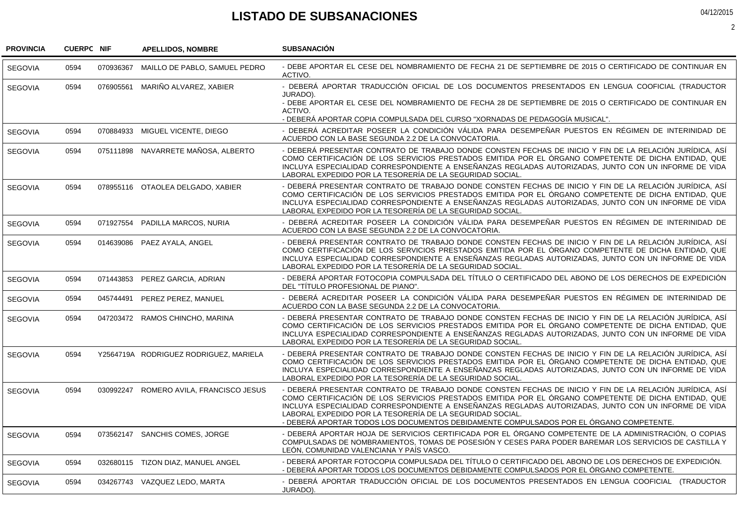## **LISTADO DE SUBSANACIONES**

04/12/2015

2

| <b>PROVINCIA</b> | <b>CUERPC NIF</b> |           | <b>APELLIDOS, NOMBRE</b>                | <b>SUBSANACIÓN</b>                                                                                                                                                                                                                                                                                                                                                                                                                                                               |
|------------------|-------------------|-----------|-----------------------------------------|----------------------------------------------------------------------------------------------------------------------------------------------------------------------------------------------------------------------------------------------------------------------------------------------------------------------------------------------------------------------------------------------------------------------------------------------------------------------------------|
| <b>SEGOVIA</b>   | 0594              | 070936367 | MAILLO DE PABLO, SAMUEL PEDRO           | - DEBE APORTAR EL CESE DEL NOMBRAMIENTO DE FECHA 21 DE SEPTIEMBRE DE 2015 O CERTIFICADO DE CONTINUAR EN<br>ACTIVO.                                                                                                                                                                                                                                                                                                                                                               |
| <b>SEGOVIA</b>   | 0594              |           | 076905561 MARIÑO ALVAREZ, XABIER        | - DEBERÁ APORTAR TRADUCCIÓN OFICIAL DE LOS DOCUMENTOS PRESENTADOS EN LENGUA COOFICIAL (TRADUCTOR                                                                                                                                                                                                                                                                                                                                                                                 |
|                  |                   |           |                                         | JURADO).<br>- DEBE APORTAR EL CESE DEL NOMBRAMIENTO DE FECHA 28 DE SEPTIEMBRE DE 2015 O CERTIFICADO DE CONTINUAR EN<br>ACTIVO.                                                                                                                                                                                                                                                                                                                                                   |
|                  |                   |           |                                         | - DEBERÀ APORTAR COPIA COMPULSADA DEL CURSO "XORNADAS DE PEDAGOGÍA MUSICAL".                                                                                                                                                                                                                                                                                                                                                                                                     |
| <b>SEGOVIA</b>   | 0594              |           | 070884933 MIGUEL VICENTE, DIEGO         | - DEBERÁ ACREDITAR POSEER LA CONDICIÓN VÁLIDA PARA DESEMPEÑAR PUESTOS EN RÉGIMEN DE INTERINIDAD DE<br>ACUERDO CON LA BASE SEGUNDA 2.2 DE LA CONVOCATORIA.                                                                                                                                                                                                                                                                                                                        |
| <b>SEGOVIA</b>   | 0594              |           | 075111898 NAVARRETE MAÑOSA, ALBERTO     | - DEBERÁ PRESENTAR CONTRATO DE TRABAJO DONDE CONSTEN FECHAS DE INICIO Y FIN DE LA RELACIÓN JURÍDICA, ASÍ<br>COMO CERTIFICACIÓN DE LOS SERVICIOS PRESTADOS EMITIDA POR EL ÓRGANO COMPETENTE DE DICHA ENTIDAD, QUE<br>INCLUYA ESPECIALIDAD CORRESPONDIENTE A ENSEÑANZAS REGLADAS AUTORIZADAS, JUNTO CON UN INFORME DE VIDA<br>LABORAL EXPEDIDO POR LA TESORERÍA DE LA SEGURIDAD SOCIAL.                                                                                            |
| <b>SEGOVIA</b>   | 0594              |           | 078955116 OTAOLEA DELGADO, XABIER       | - DEBERÁ PRESENTAR CONTRATO DE TRABAJO DONDE CONSTEN FECHAS DE INICIO Y FIN DE LA RELACIÓN JURÍDICA, ASÍ<br>COMO CERTIFICACIÓN DE LOS SERVICIOS PRESTADOS EMITIDA POR EL ÓRGANO COMPETENTE DE DICHA ENTIDAD, QUE<br>INCLUYA ESPECIALIDAD CORRESPONDIENTE A ENSEÑANZAS REGLADAS AUTORIZADAS, JUNTO CON UN INFORME DE VIDA<br>LABORAL EXPEDIDO POR LA TESORERÍA DE LA SEGURIDAD SOCIAL.                                                                                            |
| <b>SEGOVIA</b>   | 0594              |           | 071927554 PADILLA MARCOS, NURIA         | - DEBERÁ ACREDITAR POSEER LA CONDICIÓN VÁLIDA PARA DESEMPEÑAR PUESTOS EN RÉGIMEN DE INTERINIDAD DE<br>ACUERDO CON LA BASE SEGUNDA 2.2 DE LA CONVOCATORIA.                                                                                                                                                                                                                                                                                                                        |
| <b>SEGOVIA</b>   | 0594              |           | 014639086 PAEZ AYALA, ANGEL             | - DEBERÁ PRESENTAR CONTRATO DE TRABAJO DONDE CONSTEN FECHAS DE INICIO Y FIN DE LA RELACIÓN JURÍDICA, ASÍ<br>COMO CERTIFICACIÓN DE LOS SERVICIOS PRESTADOS EMITIDA POR EL ÓRGANO COMPETENTE DE DICHA ENTIDAD, QUE<br>INCLUYA ESPECIALIDAD CORRESPONDIENTE A ENSEÑANZAS REGLADAS AUTORIZADAS, JUNTO CON UN INFORME DE VIDA<br>LABORAL EXPEDIDO POR LA TESORERÍA DE LA SEGURIDAD SOCIAL.                                                                                            |
| <b>SEGOVIA</b>   | 0594              |           | 071443853 PEREZ GARCIA, ADRIAN          | - DEBERÁ APORTAR FOTOCOPIA COMPULSADA DEL TÍTULO O CERTIFICADO DEL ABONO DE LOS DERECHOS DE EXPEDICIÓN<br>DEL "TÍTULO PROFESIONAL DE PIANO".                                                                                                                                                                                                                                                                                                                                     |
| <b>SEGOVIA</b>   | 0594              |           | 045744491 PEREZ PEREZ, MANUEL           | - DEBERÁ ACREDITAR POSEER LA CONDICIÓN VÁLIDA PARA DESEMPEÑAR PUESTOS EN RÉGIMEN DE INTERINIDAD DE<br>ACUERDO CON LA BASE SEGUNDA 2.2 DE LA CONVOCATORIA.                                                                                                                                                                                                                                                                                                                        |
| <b>SEGOVIA</b>   | 0594              |           | 047203472 RAMOS CHINCHO, MARINA         | - DEBERÁ PRESENTAR CONTRATO DE TRABAJO DONDE CONSTEN FECHAS DE INICIO Y FIN DE LA RELACIÓN JURÍDICA, ASÍ<br>COMO CERTIFICACIÓN DE LOS SERVICIOS PRESTADOS EMITIDA POR EL ÓRGANO COMPETENTE DE DICHA ENTIDAD, QUE<br>INCLUYA ESPECIALIDAD CORRESPONDIENTE A ENSEÑANZAS REGLADAS AUTORIZADAS. JUNTO CON UN INFORME DE VIDA<br>LABORAL EXPEDIDO POR LA TESORERÍA DE LA SEGURIDAD SOCIAL.                                                                                            |
| <b>SEGOVIA</b>   | 0594              |           | Y2564719A RODRIGUEZ RODRIGUEZ, MARIELA  | - DEBERÁ PRESENTAR CONTRATO DE TRABAJO DONDE CONSTEN FECHAS DE INICIO Y FIN DE LA RELACIÓN JURÍDICA, ASÍ<br>COMO CERTIFICACIÓN DE LOS SERVICIOS PRESTADOS EMITIDA POR EL ÓRGANO COMPETENTE DE DICHA ENTIDAD. QUE<br>INCLUYA ESPECIALIDAD CORRESPONDIENTE A ENSEÑANZAS REGLADAS AUTORIZADAS. JUNTO CON UN INFORME DE VIDA<br>LABORAL EXPEDIDO POR LA TESORERÍA DE LA SEGURIDAD SOCIAL.                                                                                            |
| <b>SEGOVIA</b>   | 0594              |           | 030992247 ROMERO AVILA, FRANCISCO JESUS | - DEBERÁ PRESENTAR CONTRATO DE TRABAJO DONDE CONSTEN FECHAS DE INICIO Y FIN DE LA RELACIÓN JURÍDICA. ASÍ<br>COMO CERTIFICACIÓN DE LOS SERVICIOS PRESTADOS EMITIDA POR EL ÓRGANO COMPETENTE DE DICHA ENTIDAD, QUE<br>INCLUYA ESPECIALIDAD CORRESPONDIENTE A ENSEÑANZAS REGLADAS AUTORIZADAS, JUNTO CON UN INFORME DE VIDA<br>LABORAL EXPEDIDO POR LA TESORERÍA DE LA SEGURIDAD SOCIAL.<br>- DEBERÁ APORTAR TODOS LOS DOCUMENTOS DEBIDAMENTE COMPULSADOS POR EL ÓRGANO COMPETENTE. |
| <b>SEGOVIA</b>   | 0594              |           | 073562147 SANCHIS COMES, JORGE          | - DEBERÁ APORTAR HOJA DE SERVICIOS CERTIFICADA POR EL ÓRGANO COMPETENTE DE LA ADMINISTRACIÓN, O COPIAS<br>COMPULSADAS DE NOMBRAMIENTOS. TOMAS DE POSESIÓN Y CESES PARA PODER BAREMAR LOS SERVICIOS DE CASTILLA Y<br>LEÓN, COMUNIDAD VALENCIANA Y PAÍS VASCO.                                                                                                                                                                                                                     |
| <b>SEGOVIA</b>   | 0594              |           | 032680115 TIZON DIAZ, MANUEL ANGEL      | - DEBERÁ APORTAR FOTOCOPIA COMPULSADA DEL TÍTULO O CERTIFICADO DEL ABONO DE LOS DERECHOS DE EXPEDICIÓN.<br>- DEBERÁ APORTAR TODOS LOS DOCUMENTOS DEBIDAMENTE COMPULSADOS POR EL ÓRGANO COMPETENTE.                                                                                                                                                                                                                                                                               |
| <b>SEGOVIA</b>   | 0594              |           | 034267743 VAZQUEZ LEDO, MARTA           | - DEBERÁ APORTAR TRADUCCIÓN OFICIAL DE LOS DOCUMENTOS PRESENTADOS EN LENGUA COOFICIAL (TRADUCTOR<br>JURADO).                                                                                                                                                                                                                                                                                                                                                                     |